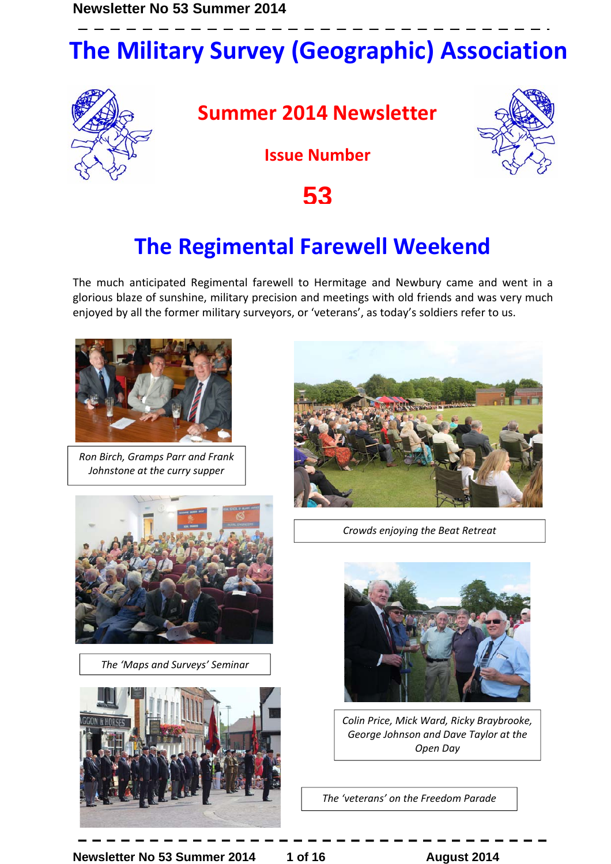# **The Military Survey (Geographic) Association**



**Summer 2014 Newsletter** 



**Issue Number** 

**53**

## **The Regimental Farewell Weekend**

The much anticipated Regimental farewell to Hermitage and Newbury came and went in a glorious blaze of sunshine, military precision and meetings with old friends and was very much enjoyed by all the former military surveyors, or 'veterans', as today's soldiers refer to us.



*Ron Birch, Gramps Parr and Frank Johnstone at the curry supper* 



*The 'Maps and Surveys' Seminar* 





*Crowds enjoying the Beat Retreat*



*Colin Price, Mick Ward, Ricky Braybrooke, George Johnson and Dave Taylor at the Open Day* 

*The 'veterans' on the Freedom Parade*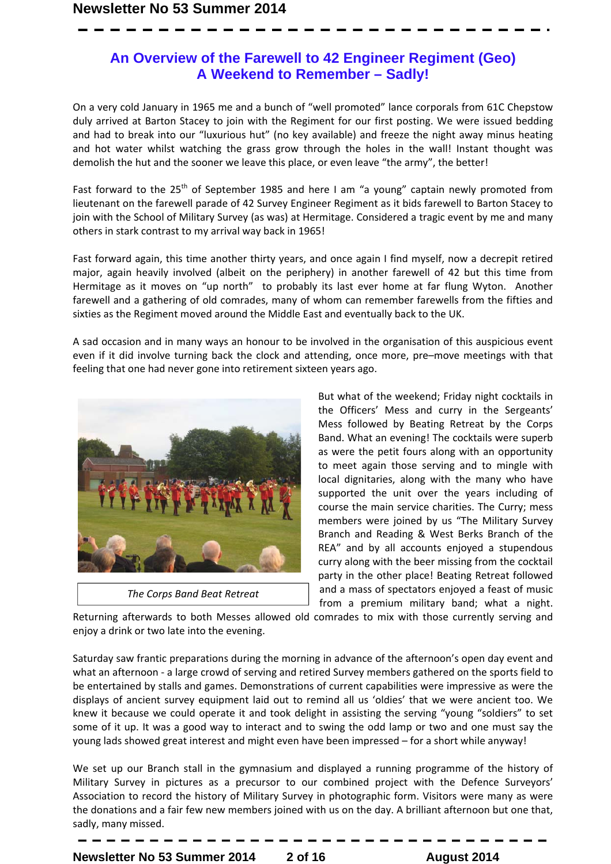### **An Overview of the Farewell to 42 Engineer Regiment (Geo) A Weekend to Remember – Sadly!**

On a very cold January in 1965 me and a bunch of "well promoted" lance corporals from 61C Chepstow duly arrived at Barton Stacey to join with the Regiment for our first posting. We were issued bedding and had to break into our "luxurious hut" (no key available) and freeze the night away minus heating and hot water whilst watching the grass grow through the holes in the wall! Instant thought was demolish the hut and the sooner we leave this place, or even leave "the army", the better!

Fast forward to the  $25<sup>th</sup>$  of September 1985 and here I am "a young" captain newly promoted from lieutenant on the farewell parade of 42 Survey Engineer Regiment as it bids farewell to Barton Stacey to join with the School of Military Survey (as was) at Hermitage. Considered a tragic event by me and many others in stark contrast to my arrival way back in 1965!

Fast forward again, this time another thirty years, and once again I find myself, now a decrepit retired major, again heavily involved (albeit on the periphery) in another farewell of 42 but this time from Hermitage as it moves on "up north" to probably its last ever home at far flung Wyton. Another farewell and a gathering of old comrades, many of whom can remember farewells from the fifties and sixties as the Regiment moved around the Middle East and eventually back to the UK.

A sad occasion and in many ways an honour to be involved in the organisation of this auspicious event even if it did involve turning back the clock and attending, once more, pre–move meetings with that feeling that one had never gone into retirement sixteen years ago.



*The Corps Band Beat Retreat*

But what of the weekend; Friday night cocktails in the Officers' Mess and curry in the Sergeants' Mess followed by Beating Retreat by the Corps Band. What an evening! The cocktails were superb as were the petit fours along with an opportunity to meet again those serving and to mingle with local dignitaries, along with the many who have supported the unit over the years including of course the main service charities. The Curry; mess members were joined by us "The Military Survey Branch and Reading & West Berks Branch of the REA" and by all accounts enjoyed a stupendous curry along with the beer missing from the cocktail party in the other place! Beating Retreat followed and a mass of spectators enjoyed a feast of music from a premium military band; what a night.

Returning afterwards to both Messes allowed old comrades to mix with those currently serving and enjoy a drink or two late into the evening.

Saturday saw frantic preparations during the morning in advance of the afternoon's open day event and what an afternoon - a large crowd of serving and retired Survey members gathered on the sports field to be entertained by stalls and games. Demonstrations of current capabilities were impressive as were the displays of ancient survey equipment laid out to remind all us 'oldies' that we were ancient too. We knew it because we could operate it and took delight in assisting the serving "young "soldiers" to set some of it up. It was a good way to interact and to swing the odd lamp or two and one must say the young lads showed great interest and might even have been impressed – for a short while anyway!

We set up our Branch stall in the gymnasium and displayed a running programme of the history of Military Survey in pictures as a precursor to our combined project with the Defence Surveyors' Association to record the history of Military Survey in photographic form. Visitors were many as were the donations and a fair few new members joined with us on the day. A brilliant afternoon but one that, sadly, many missed.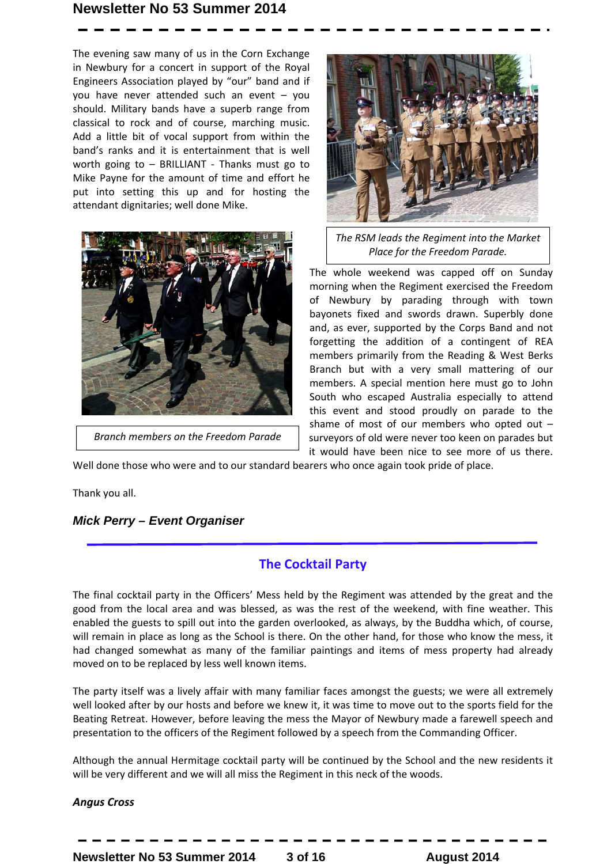The evening saw many of us in the Corn Exchange in Newbury for a concert in support of the Royal Engineers Association played by "our" band and if you have never attended such an event – you should. Military bands have a superb range from classical to rock and of course, marching music. Add a little bit of vocal support from within the band's ranks and it is entertainment that is well worth going to – BRILLIANT - Thanks must go to Mike Payne for the amount of time and effort he put into setting this up and for hosting the attendant dignitaries; well done Mike.



*Branch members on the Freedom Parade*



*The RSM leads the Regiment into the Market Place for the Freedom Parade.* 

The whole weekend was capped off on Sunday morning when the Regiment exercised the Freedom of Newbury by parading through with town bayonets fixed and swords drawn. Superbly done and, as ever, supported by the Corps Band and not forgetting the addition of a contingent of REA members primarily from the Reading & West Berks Branch but with a very small mattering of our members. A special mention here must go to John South who escaped Australia especially to attend this event and stood proudly on parade to the shame of most of our members who opted out – surveyors of old were never too keen on parades but it would have been nice to see more of us there.

Well done those who were and to our standard bearers who once again took pride of place.

Thank you all.

#### *Mick Perry – Event Organiser*

### **The Cocktail Party**

The final cocktail party in the Officers' Mess held by the Regiment was attended by the great and the good from the local area and was blessed, as was the rest of the weekend, with fine weather. This enabled the guests to spill out into the garden overlooked, as always, by the Buddha which, of course, will remain in place as long as the School is there. On the other hand, for those who know the mess, it had changed somewhat as many of the familiar paintings and items of mess property had already moved on to be replaced by less well known items.

The party itself was a lively affair with many familiar faces amongst the guests; we were all extremely well looked after by our hosts and before we knew it, it was time to move out to the sports field for the Beating Retreat. However, before leaving the mess the Mayor of Newbury made a farewell speech and presentation to the officers of the Regiment followed by a speech from the Commanding Officer.

Although the annual Hermitage cocktail party will be continued by the School and the new residents it will be very different and we will all miss the Regiment in this neck of the woods.

#### *Angus Cross*

**Newsletter No 53 Summer 2014**  3 of 16 **August 2014**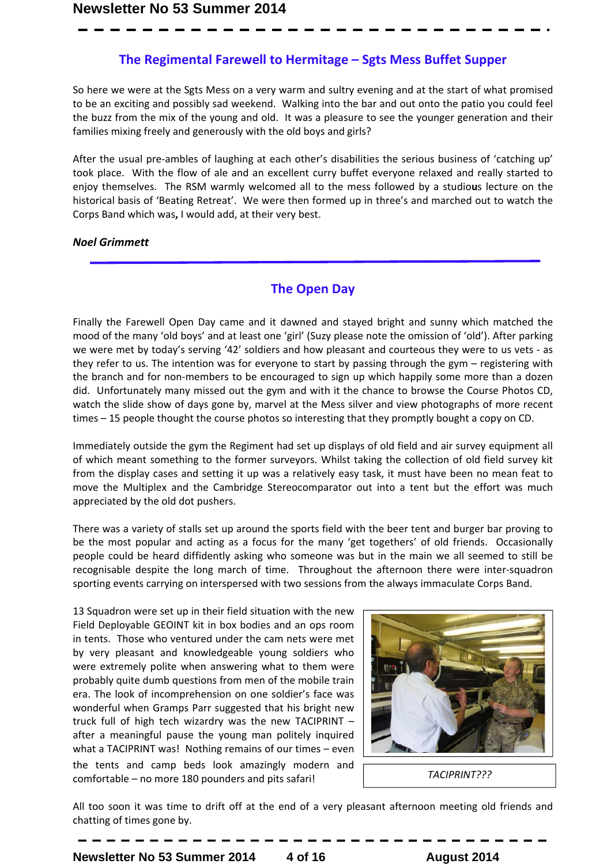#### **The Regimental Farewell to Hermitage – Sgts Mess Buffet Supper**

So here we were at the Sgts Mess on a very warm and sultry evening and at the start of what promised to be an exciting and possibly sad weekend. Walking into the bar and out onto the patio you could feel the buzz from the mix of the young and old. It was a pleasure to see the younger generation and their families mixing freely and generously with the old boys and girls?

After the usual pre-ambles of laughing at each other's disabilities the serious business of 'catching up' took place. With the flow of ale and an excellent curry buffet everyone relaxed and really started to enjoy themselves. The RSM warmly welcomed all to the mess followed by a studio**u**s lecture on the historical basis of 'Beating Retreat'. We were then formed up in three's and marched out to watch the Corps Band which was**,** I would add, at their very best.

#### *Noel Grimmett*

#### **The Open Day**

Finally the Farewell Open Day came and it dawned and stayed bright and sunny which matched the mood of the many 'old boys' and at least one 'girl' (Suzy please note the omission of 'old'). After parking we were met by today's serving '42' soldiers and how pleasant and courteous they were to us vets - as they refer to us. The intention was for everyone to start by passing through the gym – registering with the branch and for non-members to be encouraged to sign up which happily some more than a dozen did. Unfortunately many missed out the gym and with it the chance to browse the Course Photos CD, watch the slide show of days gone by, marvel at the Mess silver and view photographs of more recent times – 15 people thought the course photos so interesting that they promptly bought a copy on CD.

Immediately outside the gym the Regiment had set up displays of old field and air survey equipment all of which meant something to the former surveyors. Whilst taking the collection of old field survey kit from the display cases and setting it up was a relatively easy task, it must have been no mean feat to move the Multiplex and the Cambridge Stereocomparator out into a tent but the effort was much appreciated by the old dot pushers.

There was a variety of stalls set up around the sports field with the beer tent and burger bar proving to be the most popular and acting as a focus for the many 'get togethers' of old friends. Occasionally people could be heard diffidently asking who someone was but in the main we all seemed to still be recognisable despite the long march of time. Throughout the afternoon there were inter-squadron sporting events carrying on interspersed with two sessions from the always immaculate Corps Band.

13 Squadron were set up in their field situation with the new Field Deployable GEOINT kit in box bodies and an ops room in tents. Those who ventured under the cam nets were met by very pleasant and knowledgeable young soldiers who were extremely polite when answering what to them were probably quite dumb questions from men of the mobile train era. The look of incomprehension on one soldier's face was wonderful when Gramps Parr suggested that his bright new truck full of high tech wizardry was the new TACIPRINT – after a meaningful pause the young man politely inquired what a TACIPRINT was! Nothing remains of our times – even the tents and camp beds look amazingly modern and comfortable – no more 180 pounders and pits safari!



*TACIPRINT???*

All too soon it was time to drift off at the end of a very pleasant afternoon meeting old friends and chatting of times gone by.

**Newsletter No 53 Summer 2014 4 of 16 August 2014**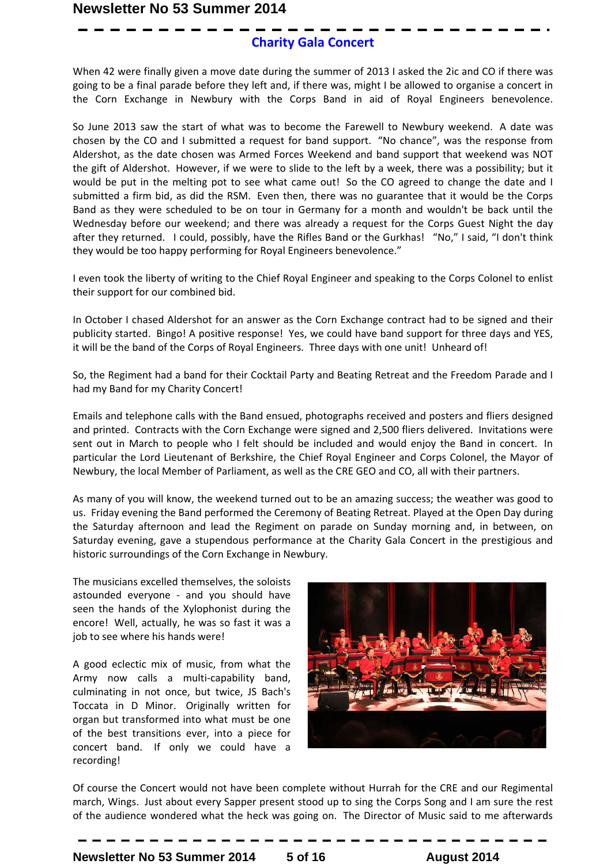### **Charity Gala Concert**

When 42 were finally given a move date during the summer of 2013 I asked the 2ic and CO if there was going to be a final parade before they left and, if there was, might I be allowed to organise a concert in the Corn Exchange in Newbury with the Corps Band in aid of Royal Engineers benevolence.

So June 2013 saw the start of what was to become the Farewell to Newbury weekend. A date was chosen by the CO and I submitted a request for band support. "No chance", was the response from Aldershot, as the date chosen was Armed Forces Weekend and band support that weekend was NOT the gift of Aldershot. However, if we were to slide to the left by a week, there was a possibility; but it would be put in the melting pot to see what came out! So the CO agreed to change the date and I submitted a firm bid, as did the RSM. Even then, there was no guarantee that it would be the Corps Band as they were scheduled to be on tour in Germany for a month and wouldn't be back until the Wednesday before our weekend; and there was already a request for the Corps Guest Night the day after they returned. I could, possibly, have the Rifles Band or the Gurkhas! "No," I said, "I don't think they would be too happy performing for Royal Engineers benevolence."

I even took the liberty of writing to the Chief Royal Engineer and speaking to the Corps Colonel to enlist their support for our combined bid.

In October I chased Aldershot for an answer as the Corn Exchange contract had to be signed and their publicity started. Bingo! A positive response! Yes, we could have band support for three days and YES, it will be the band of the Corps of Royal Engineers. Three days with one unit! Unheard of!

So, the Regiment had a band for their Cocktail Party and Beating Retreat and the Freedom Parade and I had my Band for my Charity Concert!

Emails and telephone calls with the Band ensued, photographs received and posters and fliers designed and printed. Contracts with the Corn Exchange were signed and 2,500 fliers delivered. Invitations were sent out in March to people who I felt should be included and would enjoy the Band in concert. In particular the Lord Lieutenant of Berkshire, the Chief Royal Engineer and Corps Colonel, the Mayor of Newbury, the local Member of Parliament, as well as the CRE GEO and CO, all with their partners.

As many of you will know, the weekend turned out to be an amazing success; the weather was good to us. Friday evening the Band performed the Ceremony of Beating Retreat. Played at the Open Day during the Saturday afternoon and lead the Regiment on parade on Sunday morning and, in between, on Saturday evening, gave a stupendous performance at the Charity Gala Concert in the prestigious and historic surroundings of the Corn Exchange in Newbury.

The musicians excelled themselves, the soloists astounded everyone - and you should have seen the hands of the Xylophonist during the encore! Well, actually, he was so fast it was a job to see where his hands were!

A good eclectic mix of music, from what the Army now calls a multi-capability band, culminating in not once, but twice, JS Bach's Toccata in D Minor. Originally written for organ but transformed into what must be one of the best transitions ever, into a piece for concert band. If only we could have a recording!



Of course the Concert would not have been complete without Hurrah for the CRE and our Regimental march, Wings. Just about every Sapper present stood up to sing the Corps Song and I am sure the rest of the audience wondered what the heck was going on. The Director of Music said to me afterwards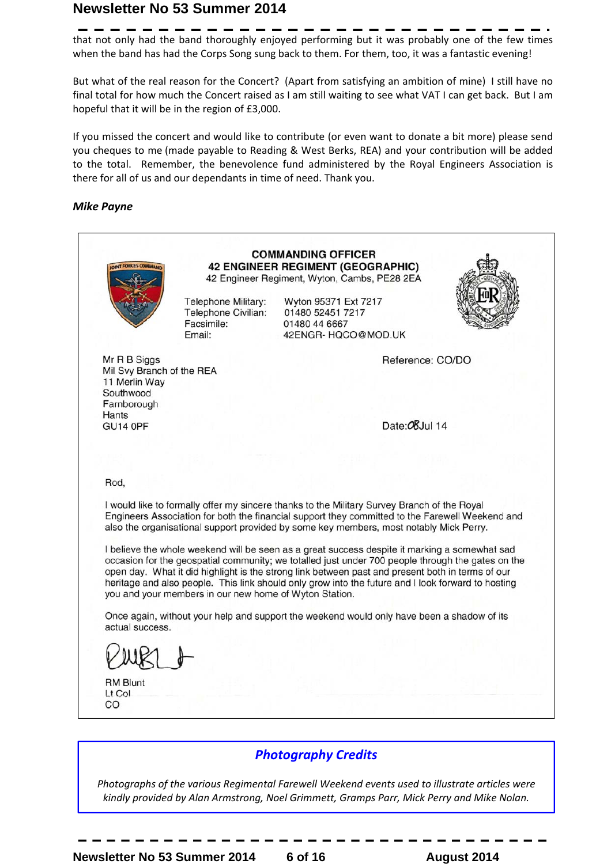that not only had the band thoroughly enjoyed performing but it was probably one of the few times when the band has had the Corps Song sung back to them. For them, too, it was a fantastic evening!

But what of the real reason for the Concert? (Apart from satisfying an ambition of mine) I still have no final total for how much the Concert raised as I am still waiting to see what VAT I can get back. But I am hopeful that it will be in the region of £3,000.

If you missed the concert and would like to contribute (or even want to donate a bit more) please send you cheques to me (made payable to Reading & West Berks, REA) and your contribution will be added to the total. Remember, the benevolence fund administered by the Royal Engineers Association is there for all of us and our dependants in time of need. Thank you.

#### *Mike Payne*



### *Photography Credits*

*Photographs of the various Regimental Farewell Weekend events used to illustrate articles were kindly provided by Alan Armstrong, Noel Grimmett, Gramps Parr, Mick Perry and Mike Nolan.*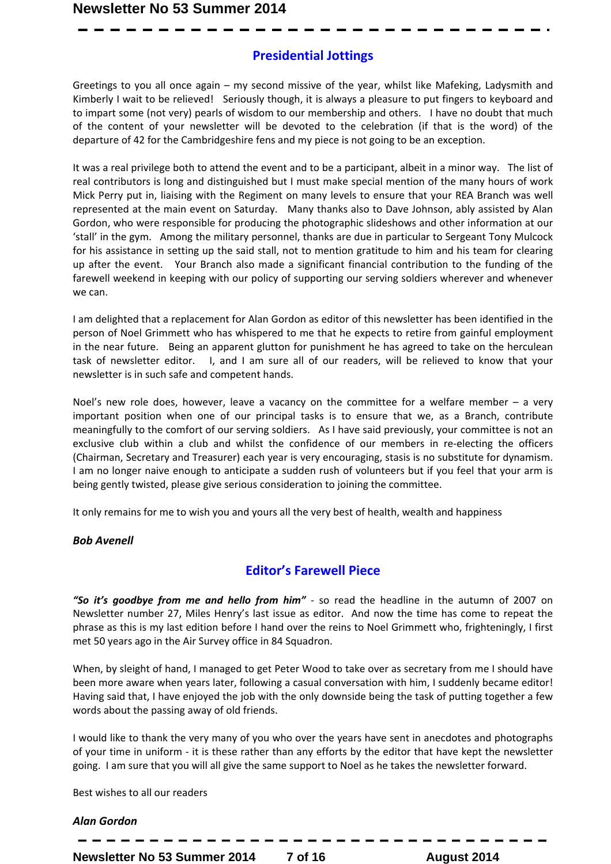### **Presidential Jottings**

Greetings to you all once again – my second missive of the year, whilst like Mafeking, Ladysmith and Kimberly I wait to be relieved! Seriously though, it is always a pleasure to put fingers to keyboard and to impart some (not very) pearls of wisdom to our membership and others. I have no doubt that much of the content of your newsletter will be devoted to the celebration (if that is the word) of the departure of 42 for the Cambridgeshire fens and my piece is not going to be an exception.

It was a real privilege both to attend the event and to be a participant, albeit in a minor way. The list of real contributors is long and distinguished but I must make special mention of the many hours of work Mick Perry put in, liaising with the Regiment on many levels to ensure that your REA Branch was well represented at the main event on Saturday. Many thanks also to Dave Johnson, ably assisted by Alan Gordon, who were responsible for producing the photographic slideshows and other information at our 'stall' in the gym. Among the military personnel, thanks are due in particular to Sergeant Tony Mulcock for his assistance in setting up the said stall, not to mention gratitude to him and his team for clearing up after the event. Your Branch also made a significant financial contribution to the funding of the farewell weekend in keeping with our policy of supporting our serving soldiers wherever and whenever we can.

I am delighted that a replacement for Alan Gordon as editor of this newsletter has been identified in the person of Noel Grimmett who has whispered to me that he expects to retire from gainful employment in the near future. Being an apparent glutton for punishment he has agreed to take on the herculean task of newsletter editor. I, and I am sure all of our readers, will be relieved to know that your newsletter is in such safe and competent hands.

Noel's new role does, however, leave a vacancy on the committee for a welfare member  $-$  a very important position when one of our principal tasks is to ensure that we, as a Branch, contribute meaningfully to the comfort of our serving soldiers. As I have said previously, your committee is not an exclusive club within a club and whilst the confidence of our members in re-electing the officers (Chairman, Secretary and Treasurer) each year is very encouraging, stasis is no substitute for dynamism. I am no longer naive enough to anticipate a sudden rush of volunteers but if you feel that your arm is being gently twisted, please give serious consideration to joining the committee.

It only remains for me to wish you and yours all the very best of health, wealth and happiness

#### *Bob Avenell*

### **Editor's Farewell Piece**

*"So it's goodbye from me and hello from him"* - so read the headline in the autumn of 2007 on Newsletter number 27, Miles Henry's last issue as editor. And now the time has come to repeat the phrase as this is my last edition before I hand over the reins to Noel Grimmett who, frighteningly, I first met 50 years ago in the Air Survey office in 84 Squadron.

When, by sleight of hand, I managed to get Peter Wood to take over as secretary from me I should have been more aware when years later, following a casual conversation with him, I suddenly became editor! Having said that, I have enjoyed the job with the only downside being the task of putting together a few words about the passing away of old friends.

I would like to thank the very many of you who over the years have sent in anecdotes and photographs of your time in uniform - it is these rather than any efforts by the editor that have kept the newsletter going. I am sure that you will all give the same support to Noel as he takes the newsletter forward.

Best wishes to all our readers

#### *Alan Gordon*

**Newsletter No 53 Summer 2014 7 of 16 August 2014**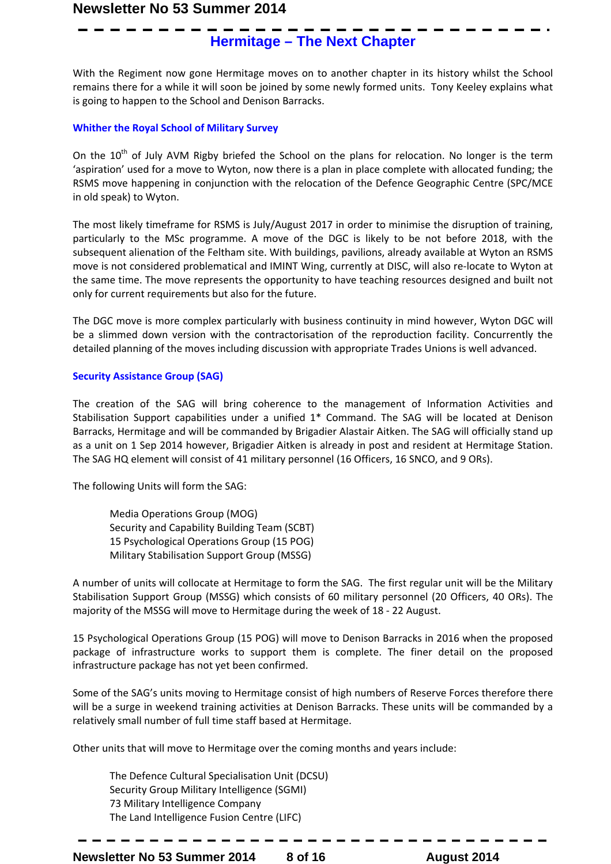## **Hermitage – The Next Chapter**

With the Regiment now gone Hermitage moves on to another chapter in its history whilst the School remains there for a while it will soon be joined by some newly formed units. Tony Keeley explains what is going to happen to the School and Denison Barracks.

#### **Whither the Royal School of Military Survey**

On the  $10<sup>th</sup>$  of July AVM Rigby briefed the School on the plans for relocation. No longer is the term 'aspiration' used for a move to Wyton, now there is a plan in place complete with allocated funding; the RSMS move happening in conjunction with the relocation of the Defence Geographic Centre (SPC/MCE in old speak) to Wyton.

The most likely timeframe for RSMS is July/August 2017 in order to minimise the disruption of training, particularly to the MSc programme. A move of the DGC is likely to be not before 2018, with the subsequent alienation of the Feltham site. With buildings, pavilions, already available at Wyton an RSMS move is not considered problematical and IMINT Wing, currently at DISC, will also re-locate to Wyton at the same time. The move represents the opportunity to have teaching resources designed and built not only for current requirements but also for the future.

The DGC move is more complex particularly with business continuity in mind however, Wyton DGC will be a slimmed down version with the contractorisation of the reproduction facility. Concurrently the detailed planning of the moves including discussion with appropriate Trades Unions is well advanced.

#### **Security Assistance Group (SAG)**

The creation of the SAG will bring coherence to the management of Information Activities and Stabilisation Support capabilities under a unified 1\* Command. The SAG will be located at Denison Barracks, Hermitage and will be commanded by Brigadier Alastair Aitken. The SAG will officially stand up as a unit on 1 Sep 2014 however, Brigadier Aitken is already in post and resident at Hermitage Station. The SAG HQ element will consist of 41 military personnel (16 Officers, 16 SNCO, and 9 ORs).

The following Units will form the SAG:

Media Operations Group (MOG) Security and Capability Building Team (SCBT) 15 Psychological Operations Group (15 POG) Military Stabilisation Support Group (MSSG)

A number of units will collocate at Hermitage to form the SAG. The first regular unit will be the Military Stabilisation Support Group (MSSG) which consists of 60 military personnel (20 Officers, 40 ORs). The majority of the MSSG will move to Hermitage during the week of 18 - 22 August.

15 Psychological Operations Group (15 POG) will move to Denison Barracks in 2016 when the proposed package of infrastructure works to support them is complete. The finer detail on the proposed infrastructure package has not yet been confirmed.

Some of the SAG's units moving to Hermitage consist of high numbers of Reserve Forces therefore there will be a surge in weekend training activities at Denison Barracks. These units will be commanded by a relatively small number of full time staff based at Hermitage.

Other units that will move to Hermitage over the coming months and years include:

The Defence Cultural Specialisation Unit (DCSU) Security Group Military Intelligence (SGMI) 73 Military Intelligence Company The Land Intelligence Fusion Centre (LIFC)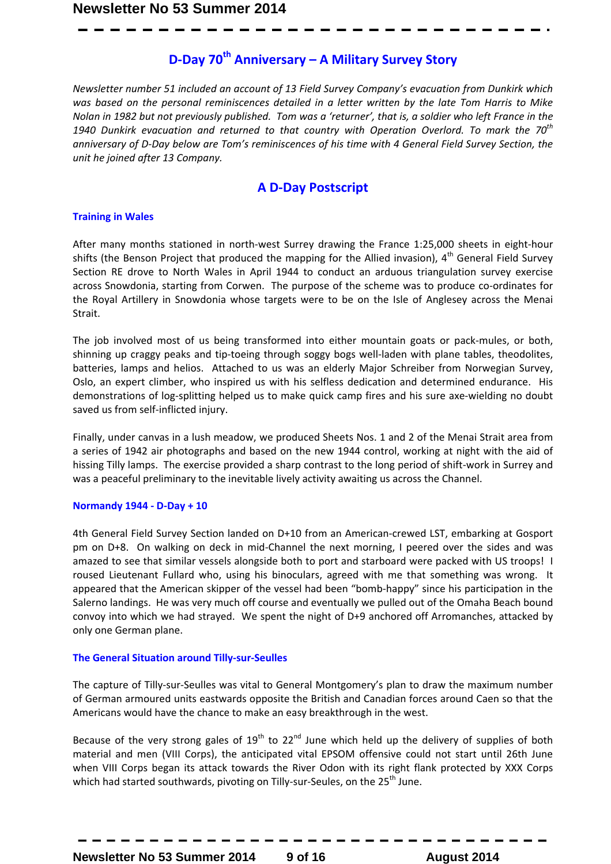### **D-Day 70th Anniversary – A Military Survey Story**

*Newsletter number 51 included an account of 13 Field Survey Company's evacuation from Dunkirk which was based on the personal reminiscences detailed in a letter written by the late Tom Harris to Mike Nolan in 1982 but not previously published. Tom was a 'returner', that is, a soldier who left France in the 1940 Dunkirk evacuation and returned to that country with Operation Overlord. To mark the 70th anniversary of D-Day below are Tom's reminiscences of his time with 4 General Field Survey Section, the unit he joined after 13 Company.* 

### **A D-Day Postscript**

#### **Training in Wales**

After many months stationed in north-west Surrey drawing the France 1:25,000 sheets in eight-hour shifts (the Benson Project that produced the mapping for the Allied invasion),  $4<sup>th</sup>$  General Field Survey Section RE drove to North Wales in April 1944 to conduct an arduous triangulation survey exercise across Snowdonia, starting from Corwen. The purpose of the scheme was to produce co-ordinates for the Royal Artillery in Snowdonia whose targets were to be on the Isle of Anglesey across the Menai Strait.

The job involved most of us being transformed into either mountain goats or pack-mules, or both, shinning up craggy peaks and tip-toeing through soggy bogs well-laden with plane tables, theodolites, batteries, lamps and helios. Attached to us was an elderly Major Schreiber from Norwegian Survey, Oslo, an expert climber, who inspired us with his selfless dedication and determined endurance. His demonstrations of log-splitting helped us to make quick camp fires and his sure axe-wielding no doubt saved us from self-inflicted injury.

Finally, under canvas in a lush meadow, we produced Sheets Nos. 1 and 2 of the Menai Strait area from a series of 1942 air photographs and based on the new 1944 control, working at night with the aid of hissing Tilly lamps. The exercise provided a sharp contrast to the long period of shift-work in Surrey and was a peaceful preliminary to the inevitable lively activity awaiting us across the Channel.

#### **Normandy 1944 - D-Day + 10**

4th General Field Survey Section landed on D+10 from an American-crewed LST, embarking at Gosport pm on D+8. On walking on deck in mid-Channel the next morning, I peered over the sides and was amazed to see that similar vessels alongside both to port and starboard were packed with US troops! I roused Lieutenant Fullard who, using his binoculars, agreed with me that something was wrong. It appeared that the American skipper of the vessel had been "bomb-happy" since his participation in the Salerno landings. He was very much off course and eventually we pulled out of the Omaha Beach bound convoy into which we had strayed. We spent the night of D+9 anchored off Arromanches, attacked by only one German plane.

#### **The General Situation around Tilly-sur-Seulles**

The capture of Tilly-sur-Seulles was vital to General Montgomery's plan to draw the maximum number of German armoured units eastwards opposite the British and Canadian forces around Caen so that the Americans would have the chance to make an easy breakthrough in the west.

Because of the very strong gales of  $19^{th}$  to  $22^{nd}$  June which held up the delivery of supplies of both material and men (VIII Corps), the anticipated vital EPSOM offensive could not start until 26th June when VIII Corps began its attack towards the River Odon with its right flank protected by XXX Corps which had started southwards, pivoting on Tilly-sur-Seules, on the  $25<sup>th</sup>$  June.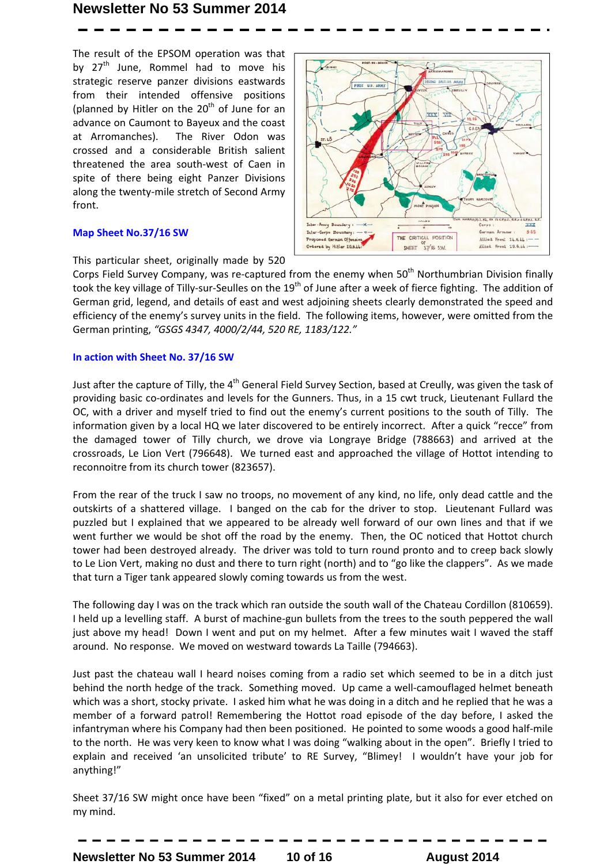The result of the EPSOM operation was that by  $27<sup>th</sup>$  June, Rommel had to move his strategic reserve panzer divisions eastwards from their intended offensive positions (planned by Hitler on the  $20<sup>th</sup>$  of June for an advance on Caumont to Bayeux and the coast at Arromanches). The River Odon was crossed and a considerable British salient threatened the area south-west of Caen in spite of there being eight Panzer Divisions along the twenty-mile stretch of Second Army front.

#### **Map Sheet No.37/16 SW**



This particular sheet, originally made by 520

Corps Field Survey Company, was re-captured from the enemy when 50<sup>th</sup> Northumbrian Division finally took the key village of Tilly-sur-Seulles on the 19<sup>th</sup> of June after a week of fierce fighting. The addition of German grid, legend, and details of east and west adjoining sheets clearly demonstrated the speed and efficiency of the enemy's survey units in the field. The following items, however, were omitted from the German printing, *"GSGS 4347, 4000/2/44, 520 RE, 1183/122."* 

#### **In action with Sheet No. 37/16 SW**

Just after the capture of Tilly, the 4<sup>th</sup> General Field Survey Section, based at Creully, was given the task of providing basic co-ordinates and levels for the Gunners. Thus, in a 15 cwt truck, Lieutenant Fullard the OC, with a driver and myself tried to find out the enemy's current positions to the south of Tilly. The information given by a local HQ we later discovered to be entirely incorrect. After a quick "recce" from the damaged tower of Tilly church, we drove via Longraye Bridge (788663) and arrived at the crossroads, Le Lion Vert (796648). We turned east and approached the village of Hottot intending to reconnoitre from its church tower (823657).

From the rear of the truck I saw no troops, no movement of any kind, no life, only dead cattle and the outskirts of a shattered village. I banged on the cab for the driver to stop. Lieutenant Fullard was puzzled but I explained that we appeared to be already well forward of our own lines and that if we went further we would be shot off the road by the enemy. Then, the OC noticed that Hottot church tower had been destroyed already. The driver was told to turn round pronto and to creep back slowly to Le Lion Vert, making no dust and there to turn right (north) and to "go like the clappers". As we made that turn a Tiger tank appeared slowly coming towards us from the west.

The following day I was on the track which ran outside the south wall of the Chateau Cordillon (810659). I held up a levelling staff. A burst of machine-gun bullets from the trees to the south peppered the wall just above my head! Down I went and put on my helmet. After a few minutes wait I waved the staff around. No response. We moved on westward towards La Taille (794663).

Just past the chateau wall I heard noises coming from a radio set which seemed to be in a ditch just behind the north hedge of the track. Something moved. Up came a well-camouflaged helmet beneath which was a short, stocky private. I asked him what he was doing in a ditch and he replied that he was a member of a forward patrol! Remembering the Hottot road episode of the day before, I asked the infantryman where his Company had then been positioned. He pointed to some woods a good half-mile to the north. He was very keen to know what I was doing "walking about in the open". Briefly I tried to explain and received 'an unsolicited tribute' to RE Survey, "Blimey! I wouldn't have your job for anything!"

Sheet 37/16 SW might once have been "fixed" on a metal printing plate, but it also for ever etched on my mind.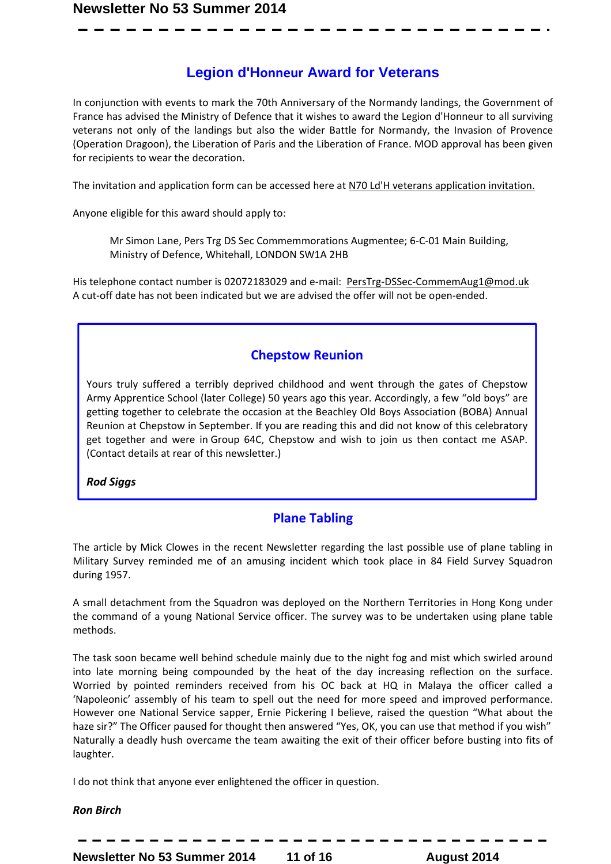### **Legion d'Honneur Award for Veterans**

In conjunction with events to mark the 70th Anniversary of the Normandy landings, the Government of France has advised the Ministry of Defence that it wishes to award the Legion d'Honneur to all surviving veterans not only of the landings but also the wider Battle for Normandy, the Invasion of Provence (Operation Dragoon), the Liberation of Paris and the Liberation of France. MOD approval has been given for recipients to wear the decoration.

The invitation and application form can be accessed here at N70 Ld'H veterans application invitation.

Anyone eligible for this award should apply to:

Mr Simon Lane, Pers Trg DS Sec Commemmorations Augmentee; 6-C-01 Main Building, Ministry of Defence, Whitehall, LONDON SW1A 2HB

His telephone contact number is 02072183029 and e-mail: PersTrg-DSSec-CommemAug1@mod.uk A cut-off date has not been indicated but we are advised the offer will not be open-ended.

### **Chepstow Reunion**

Yours truly suffered a terribly deprived childhood and went through the gates of Chepstow Army Apprentice School (later College) 50 years ago this year. Accordingly, a few "old boys" are getting together to celebrate the occasion at the Beachley Old Boys Association (BOBA) Annual Reunion at Chepstow in September. If you are reading this and did not know of this celebratory get together and were in Group 64C, Chepstow and wish to join us then contact me ASAP. (Contact details at rear of this newsletter.)

*Rod Siggs* 

### **Plane Tabling**

The article by Mick Clowes in the recent Newsletter regarding the last possible use of plane tabling in Military Survey reminded me of an amusing incident which took place in 84 Field Survey Squadron during 1957.

A small detachment from the Squadron was deployed on the Northern Territories in Hong Kong under the command of a young National Service officer. The survey was to be undertaken using plane table methods.

The task soon became well behind schedule mainly due to the night fog and mist which swirled around into late morning being compounded by the heat of the day increasing reflection on the surface. Worried by pointed reminders received from his OC back at HQ in Malaya the officer called a 'Napoleonic' assembly of his team to spell out the need for more speed and improved performance. However one National Service sapper, Ernie Pickering I believe, raised the question "What about the haze sir?" The Officer paused for thought then answered "Yes, OK, you can use that method if you wish" Naturally a deadly hush overcame the team awaiting the exit of their officer before busting into fits of laughter.

I do not think that anyone ever enlightened the officer in question.

*Ron Birch* 

**Newsletter No 53 Summer 2014 11 of 16 August 2014**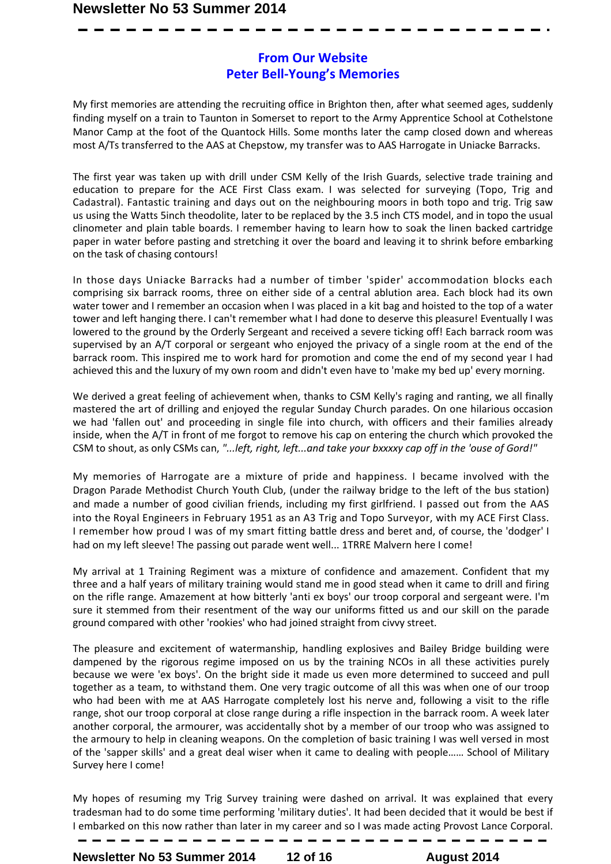### **From Our Website Peter Bell-Young's Memories**

My first memories are attending the recruiting office in Brighton then, after what seemed ages, suddenly finding myself on a train to Taunton in Somerset to report to the Army Apprentice School at Cothelstone Manor Camp at the foot of the Quantock Hills. Some months later the camp closed down and whereas most A/Ts transferred to the AAS at Chepstow, my transfer was to AAS Harrogate in Uniacke Barracks.

The first year was taken up with drill under CSM Kelly of the Irish Guards, selective trade training and education to prepare for the ACE First Class exam. I was selected for surveying (Topo, Trig and Cadastral). Fantastic training and days out on the neighbouring moors in both topo and trig. Trig saw us using the Watts 5inch theodolite, later to be replaced by the 3.5 inch CTS model, and in topo the usual clinometer and plain table boards. I remember having to learn how to soak the linen backed cartridge paper in water before pasting and stretching it over the board and leaving it to shrink before embarking on the task of chasing contours!

In those days Uniacke Barracks had a number of timber 'spider' accommodation blocks each comprising six barrack rooms, three on either side of a central ablution area. Each block had its own water tower and I remember an occasion when I was placed in a kit bag and hoisted to the top of a water tower and left hanging there. I can't remember what I had done to deserve this pleasure! Eventually I was lowered to the ground by the Orderly Sergeant and received a severe ticking off! Each barrack room was supervised by an A/T corporal or sergeant who enjoyed the privacy of a single room at the end of the barrack room. This inspired me to work hard for promotion and come the end of my second year I had achieved this and the luxury of my own room and didn't even have to 'make my bed up' every morning.

We derived a great feeling of achievement when, thanks to CSM Kelly's raging and ranting, we all finally mastered the art of drilling and enjoyed the regular Sunday Church parades. On one hilarious occasion we had 'fallen out' and proceeding in single file into church, with officers and their families already inside, when the A/T in front of me forgot to remove his cap on entering the church which provoked the CSM to shout, as only CSMs can, *"...left, right, left...and take your bxxxxy cap off in the 'ouse of Gord!"* 

My memories of Harrogate are a mixture of pride and happiness. I became involved with the Dragon Parade Methodist Church Youth Club, (under the railway bridge to the left of the bus station) and made a number of good civilian friends, including my first girlfriend. I passed out from the AAS into the Royal Engineers in February 1951 as an A3 Trig and Topo Surveyor, with my ACE First Class. I remember how proud I was of my smart fitting battle dress and beret and, of course, the 'dodger' I had on my left sleeve! The passing out parade went well... 1TRRE Malvern here I come!

My arrival at 1 Training Regiment was a mixture of confidence and amazement. Confident that my three and a half years of military training would stand me in good stead when it came to drill and firing on the rifle range. Amazement at how bitterly 'anti ex boys' our troop corporal and sergeant were. I'm sure it stemmed from their resentment of the way our uniforms fitted us and our skill on the parade ground compared with other 'rookies' who had joined straight from civvy street.

The pleasure and excitement of watermanship, handling explosives and Bailey Bridge building were dampened by the rigorous regime imposed on us by the training NCOs in all these activities purely because we were 'ex boys'. On the bright side it made us even more determined to succeed and pull together as a team, to withstand them. One very tragic outcome of all this was when one of our troop who had been with me at AAS Harrogate completely lost his nerve and, following a visit to the rifle range, shot our troop corporal at close range during a rifle inspection in the barrack room. A week later another corporal, the armourer, was accidentally shot by a member of our troop who was assigned to the armoury to help in cleaning weapons. On the completion of basic training I was well versed in most of the 'sapper skills' and a great deal wiser when it came to dealing with people…… School of Military Survey here I come!

My hopes of resuming my Trig Survey training were dashed on arrival. It was explained that every tradesman had to do some time performing 'military duties'. It had been decided that it would be best if I embarked on this now rather than later in my career and so I was made acting Provost Lance Corporal.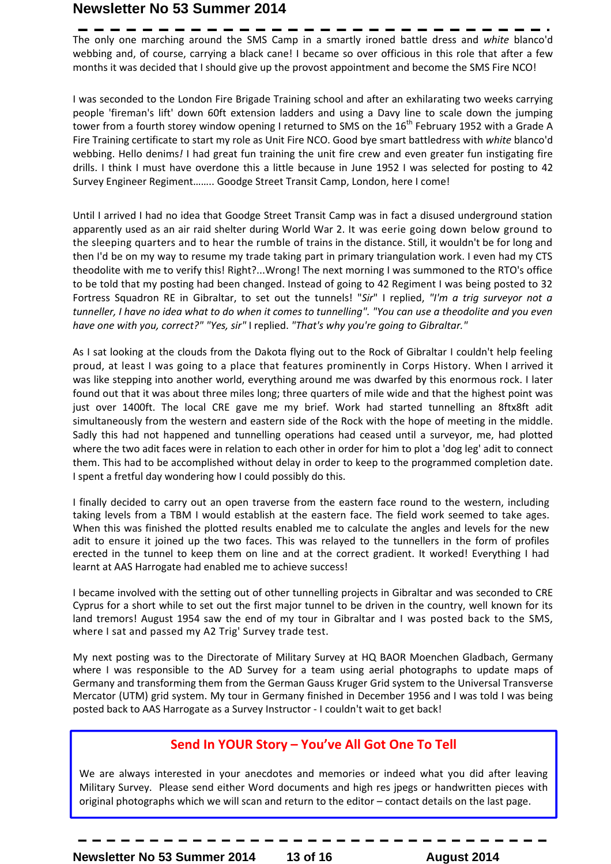The only one marching around the SMS Camp in a smartly ironed battle dress and *white* blanco'd webbing and, of course, carrying a black cane! I became so over officious in this role that after a few months it was decided that I should give up the provost appointment and become the SMS Fire NCO!

I was seconded to the London Fire Brigade Training school and after an exhilarating two weeks carrying people 'fireman's lift' down 60ft extension ladders and using a Davy line to scale down the jumping tower from a fourth storey window opening I returned to SMS on the 16<sup>th</sup> February 1952 with a Grade A Fire Training certificate to start my role as Unit Fire NCO. Good bye smart battledress with *white* blanco'd webbing. Hello denims*!* I had great fun training the unit fire crew and even greater fun instigating fire drills. I think I must have overdone this a little because in June 1952 I was selected for posting to 42 Survey Engineer Regiment…….. Goodge Street Transit Camp, London, here I come!

Until I arrived I had no idea that Goodge Street Transit Camp was in fact a disused underground station apparently used as an air raid shelter during World War 2. It was eerie going down below ground to the sleeping quarters and to hear the rumble of trains in the distance. Still, it wouldn't be for long and then I'd be on my way to resume my trade taking part in primary triangulation work. I even had my CTS theodolite with me to verify this! Right?...Wrong! The next morning I was summoned to the RTO's office to be told that my posting had been changed. Instead of going to 42 Regiment I was being posted to 32 Fortress Squadron RE in Gibraltar, to set out the tunnels! "*Sir*" I replied, *"I'm a trig surveyor not a tunneller, I have no idea what to do when it comes to tunnelling". "You can use a theodolite and you even have one with you, correct?" "Yes, sir"* I replied. *"That's why you're going to Gibraltar."* 

As I sat looking at the clouds from the Dakota flying out to the Rock of Gibraltar I couldn't help feeling proud, at least I was going to a place that features prominently in Corps History. When I arrived it was like stepping into another world, everything around me was dwarfed by this enormous rock. I later found out that it was about three miles long; three quarters of mile wide and that the highest point was just over 1400ft. The local CRE gave me my brief. Work had started tunnelling an 8ftx8ft adit simultaneously from the western and eastern side of the Rock with the hope of meeting in the middle. Sadly this had not happened and tunnelling operations had ceased until a surveyor, me, had plotted where the two adit faces were in relation to each other in order for him to plot a 'dog leg' adit to connect them. This had to be accomplished without delay in order to keep to the programmed completion date. I spent a fretful day wondering how I could possibly do this.

I finally decided to carry out an open traverse from the eastern face round to the western, including taking levels from a TBM I would establish at the eastern face. The field work seemed to take ages. When this was finished the plotted results enabled me to calculate the angles and levels for the new adit to ensure it joined up the two faces. This was relayed to the tunnellers in the form of profiles erected in the tunnel to keep them on line and at the correct gradient. It worked! Everything I had learnt at AAS Harrogate had enabled me to achieve success!

I became involved with the setting out of other tunnelling projects in Gibraltar and was seconded to CRE Cyprus for a short while to set out the first major tunnel to be driven in the country, well known for its land tremors! August 1954 saw the end of my tour in Gibraltar and I was posted back to the SMS, where I sat and passed my A2 Trig' Survey trade test.

My next posting was to the Directorate of Military Survey at HQ BAOR Moenchen Gladbach, Germany where I was responsible to the AD Survey for a team using aerial photographs to update maps of Germany and transforming them from the German Gauss Kruger Grid system to the Universal Transverse Mercator (UTM) grid system. My tour in Germany finished in December 1956 and I was told I was being posted back to AAS Harrogate as a Survey Instructor - I couldn't wait to get back!

### **Send In YOUR Story – You've All Got One To Tell**

We are always interested in your anecdotes and memories or indeed what you did after leaving Military Survey. Please send either Word documents and high res jpegs or handwritten pieces with original photographs which we will scan and return to the editor – contact details on the last page.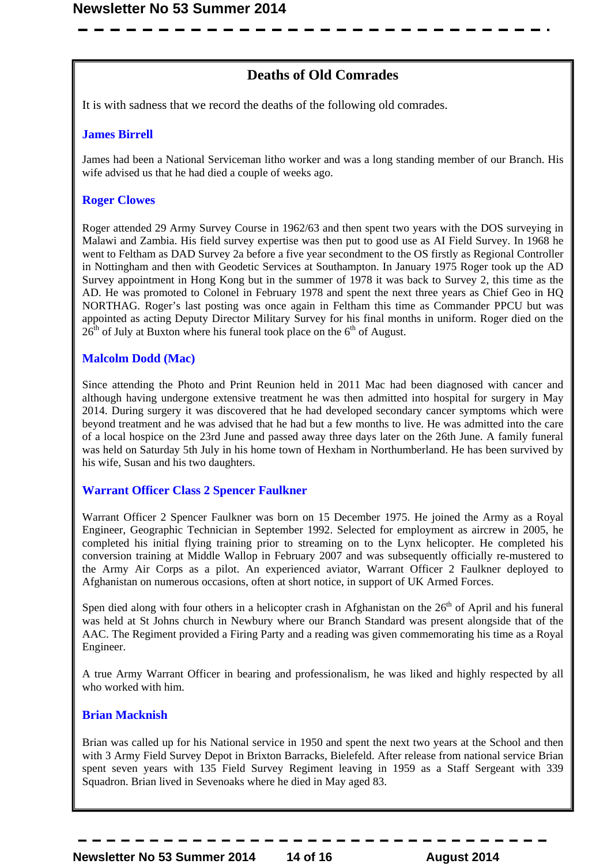### **Deaths of Old Comrades**

It is with sadness that we record the deaths of the following old comrades.

#### **James Birrell**

James had been a National Serviceman litho worker and was a long standing member of our Branch. His wife advised us that he had died a couple of weeks ago.

#### **Roger Clowes**

Roger attended 29 Army Survey Course in 1962/63 and then spent two years with the DOS surveying in Malawi and Zambia. His field survey expertise was then put to good use as AI Field Survey. In 1968 he went to Feltham as DAD Survey 2a before a five year secondment to the OS firstly as Regional Controller in Nottingham and then with Geodetic Services at Southampton. In January 1975 Roger took up the AD Survey appointment in Hong Kong but in the summer of 1978 it was back to Survey 2, this time as the AD. He was promoted to Colonel in February 1978 and spent the next three years as Chief Geo in HQ NORTHAG. Roger's last posting was once again in Feltham this time as Commander PPCU but was appointed as acting Deputy Director Military Survey for his final months in uniform. Roger died on the  $26<sup>th</sup>$  of July at Buxton where his funeral took place on the  $6<sup>th</sup>$  of August.

#### **Malcolm Dodd (Mac)**

Since attending the Photo and Print Reunion held in 2011 Mac had been diagnosed with cancer and although having undergone extensive treatment he was then admitted into hospital for surgery in May 2014. During surgery it was discovered that he had developed secondary cancer symptoms which were beyond treatment and he was advised that he had but a few months to live. He was admitted into the care of a local hospice on the 23rd June and passed away three days later on the 26th June. A family funeral was held on Saturday 5th July in his home town of Hexham in Northumberland. He has been survived by his wife, Susan and his two daughters.

#### **Warrant Officer Class 2 Spencer Faulkner**

Warrant Officer 2 Spencer Faulkner was born on 15 December 1975. He joined the Army as a Royal Engineer, Geographic Technician in September 1992. Selected for employment as aircrew in 2005, he completed his initial flying training prior to streaming on to the Lynx helicopter. He completed his conversion training at Middle Wallop in February 2007 and was subsequently officially re-mustered to the Army Air Corps as a pilot. An experienced aviator, Warrant Officer 2 Faulkner deployed to Afghanistan on numerous occasions, often at short notice, in support of UK Armed Forces.

Spen died along with four others in a helicopter crash in Afghanistan on the 26<sup>th</sup> of April and his funeral was held at St Johns church in Newbury where our Branch Standard was present alongside that of the AAC. The Regiment provided a Firing Party and a reading was given commemorating his time as a Royal Engineer.

A true Army Warrant Officer in bearing and professionalism, he was liked and highly respected by all who worked with him.

#### **Brian Macknish**

Brian was called up for his National service in 1950 and spent the next two years at the School and then with 3 Army Field Survey Depot in Brixton Barracks, Bielefeld. After release from national service Brian spent seven years with 135 Field Survey Regiment leaving in 1959 as a Staff Sergeant with 339 Squadron. Brian lived in Sevenoaks where he died in May aged 83.

**Newsletter No 53 Summer 2014 14 of 16 August 2014**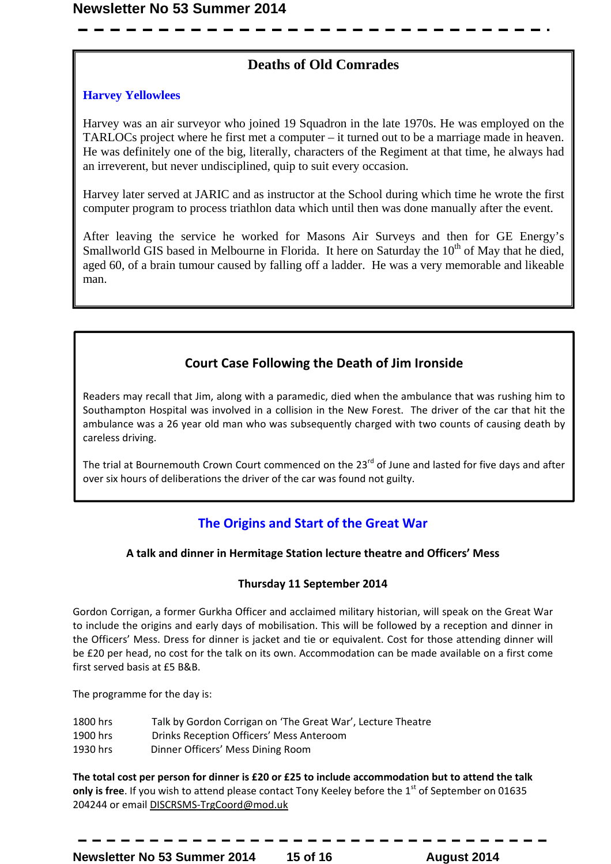### **Deaths of Old Comrades**

#### **Harvey Yellowlees**

Harvey was an air surveyor who joined 19 Squadron in the late 1970s. He was employed on the TARLOCs project where he first met a computer – it turned out to be a marriage made in heaven. He was definitely one of the big, literally, characters of the Regiment at that time, he always had an irreverent, but never undisciplined, quip to suit every occasion.

Harvey later served at JARIC and as instructor at the School during which time he wrote the first computer program to process triathlon data which until then was done manually after the event.

After leaving the service he worked for Masons Air Surveys and then for GE Energy's Smallworld GIS based in Melbourne in Florida. It here on Saturday the  $10<sup>th</sup>$  of May that he died, aged 60, of a brain tumour caused by falling off a ladder. He was a very memorable and likeable man.

### **Court Case Following the Death of Jim Ironside**

Readers may recall that Jim, along with a paramedic, died when the ambulance that was rushing him to Southampton Hospital was involved in a collision in the New Forest. The driver of the car that hit the ambulance was a 26 year old man who was subsequently charged with two counts of causing death by careless driving.

The trial at Bournemouth Crown Court commenced on the 23<sup>rd</sup> of June and lasted for five days and after over six hours of deliberations the driver of the car was found not guilty.

### **The Origins and Start of the Great War**

### **A talk and dinner in Hermitage Station lecture theatre and Officers' Mess**

### **Thursday 11 September 2014**

Gordon Corrigan, a former Gurkha Officer and acclaimed military historian, will speak on the Great War to include the origins and early days of mobilisation. This will be followed by a reception and dinner in the Officers' Mess. Dress for dinner is jacket and tie or equivalent. Cost for those attending dinner will be £20 per head, no cost for the talk on its own. Accommodation can be made available on a first come first served basis at £5 B&B.

The programme for the day is:

- 1800 hrs Talk by Gordon Corrigan on 'The Great War', Lecture Theatre
- 1900 hrs Drinks Reception Officers' Mess Anteroom
- 1930 hrs Dinner Officers' Mess Dining Room

**The total cost per person for dinner is £20 or £25 to include accommodation but to attend the talk**  only is free. If you wish to attend please contact Tony Keeley before the 1<sup>st</sup> of September on 01635 204244 or email DISCRSMS-TrgCoord@mod.uk